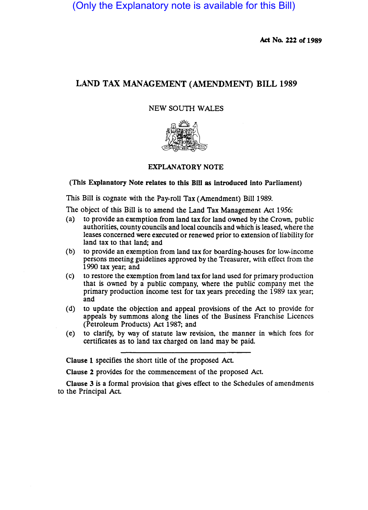(Only the Explanatory note is available for this Bill)

Act No. 222 of 1989

# LAND TAX MANAGEMENT (AMENDMENT) BILL 1989

## NEW SOUTH WALES



## EXPLANATORY NOTE

## (This Explanatory Note relates to this Bill as introduced into Parliament)

This Bill is cognate with the Pay-roll Tax (Amendment) Bill 1989.

The object of this Bill is to amend the Land Tax Management Act 1956:

- (a) to provide an exemption from land tax for land owned by the Crown, public authorities, county councils and local councils and which is leased, where the leases concerned were executed or renewed prior to extension of liability for land tax to that land; and
- (b) to provide an exemption from land tax for boarding-houses for low-income persons meeting guidelines approved by the Treasurer, with effect from the 1990 tax year; and
- (c) to restore the exemption from land tax for land used for primary production that is owned by a public company, where the public company met the primary production income test for tax years preceding the 1989 tax year; and
- (d) to update the objection and appeal provisions of the Act to provide for appeals by summons along the lines of the Business Franchise Licences (Petroleum Products) Act 1987; and
- (e) to clarify, by way of statute law revision, the manner in which fees for certificates as to land tax charged on land may be paid.

Clause 1 specifies the short title of the proposed Act

Clause 2 provides for the commencement of the proposed Act.

Clause 3 is a formal provision that gives effect to the Schedules of amendments to the Principal Act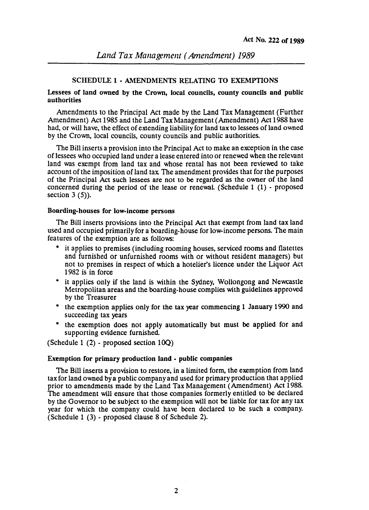#### SCHEDULE 1 - AMENDMENTS RELATING TO EXEMPTIONS

## Lessees of land owned by the Crown, local councils, county councils and public authorities

Amendments to the Principal Act made by the Land Tax Management (Further Amendment) Act 1985 and the Land Tax Management (Amendment) Act 1988 have had, or will have, the effect of extending liability for land tax to lessees of land owned by the Crown, local councils, county councils and public authorities.

The Bill inserts a provision into the Principal Act to make an exception in the case of lessees who occupied land under a lease entered into or renewed when the relevant land was exempt from land tax and whose rental has not been reviewed to take account of the imposition of land tax. The amendment provides that for the purposes of the Principal Act such lessees are not to be regarded as the owner of the land concerned during the period of the lease or renewal. (Schedule 1 (1) - proposed section  $3(5)$ ).

#### Boarding-houses for low-income persons

The Bill inserts provisions into the Principal Act that exempt from land tax land used and occupied primarily for a boarding-house for low-income persons. The main features of the exemption are as follows:

- \* it applies to premises (including rooming houses, serviced rooms and flatettes and furnished or unfurnished rooms with or without resident managers) but not to premises in respect of which a hotelier'S licence under the Liquor Act 1982 is in force
- \* it applies only if the land is within the Sydney, Wollongong and Newcastle Metropolitan areas and the boarding-house complies with guidelines approved by the Treasurer
- \* the exemption applies only for the tax year commencing 1 January 1990 and succeeding tax years
- \* the exemption does not apply automatically but must be applied for and supporting evidence furnished.

(Schedule 1 (2) - proposed section 100)

#### Exemption for primary production land - public companies

The Bill inserts a provision to restore, in a limited form, the exemption from land tax for land owned by a public company and used for primary production that applied prior to amendments made by the Land Tax Management (Amendment) Act 1988. The amendment will ensure that those companies formerly entitled to be declared by the Governor to be subject to the exemption will not be liable for tax for any tax year for which the company could have been declared to be such a company. (Schedule 1 (3) - proposed clause 8 of Schedule 2).